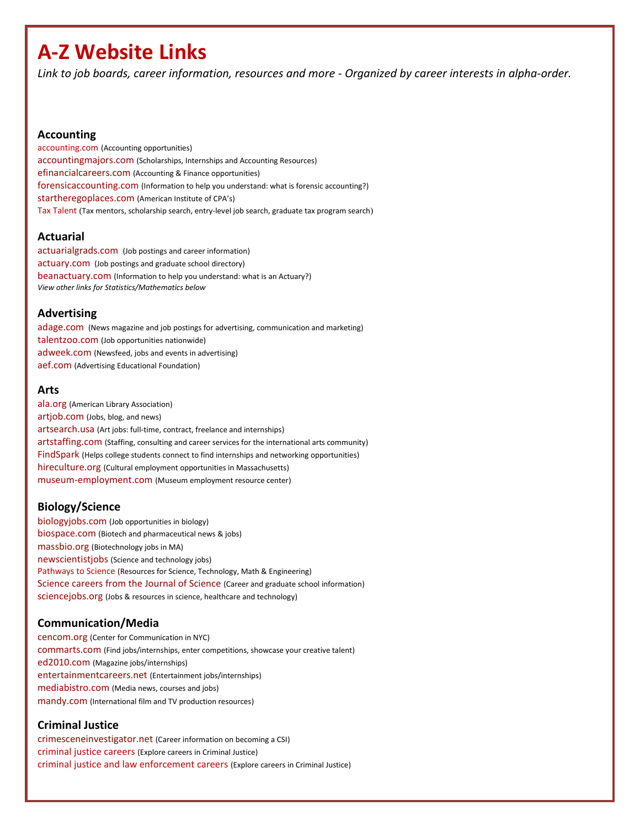# **A-Z Website Links**

*Link to job boards, career information, resources and more - Organized by career interests in alpha-order.* 

#### **Accounting**

[accounting.com](http://www.accounting.com/jobs/) (Accounting opportunities) [accountingmajors.com](http://www.accountingmajors.com/) (Scholarships, Internships and Accounting Resources) [efinancialcareers.com](http://www.efinancialcareers.com/) (Accounting & Finance opportunities) [forensicaccounting.com](http://www.forensicaccounting.com/) (Information to help you understand: what is forensic accounting?) [startheregoplaces.com](http://www.startheregoplaces.com/) (American Institute of CPA's) [Tax Talent](http://www.taxtalent.com/students/committed-to-career-in-tax) (Tax mentors, scholarship search, entry-level job search, graduate tax program search)

## **Actuarial**

[actuarialgrads.com](http://www.actuarialgrads.com/) (Job postings and career information) [actuary.com](http://www.actuary.com/) (Job postings and graduate school directory) [beanactuary.com](http://www.beanactuary.com/) (Information to help you understand: what is an Actuary?) *View other links for Statistics/Mathematics below*

# **Advertising**

[adage.com](http://adage.com/talentworks/) (News magazine and job postings for advertising, communication and marketing) talentzoo.com [\(Job opportunities nationwide\)](http://www.talentzoo.com/)  [adweek.com](http://www.adweek.com/) (Newsfeed, jobs and events in advertising) [aef.com](http://www.aef.com/industry/careers/index.html) (Advertising Educational Foundation)

#### **Arts**

[ala.org](http://www.ala.org/) (American Library Association) [artjob.com](https://www.artjob.org/) (Jobs, blog, and news) [artsearch.usa](http://jobs.artsearch.us/) (Art jobs: full-time, contract, freelance and internships) [artstaffing.com](http://www.artstaffing.com/) (Staffing, consulting and career services for the international arts community) [FindSpark](http://www.meetup.com/nycreativeinterns/) (Helps college students connect to find internships and networking opportunities) [hireculture.org](http://www.hireculture.org/) (Cultural employment opportunities in Massachusetts) [museum-employment.com](http://www.museum-employment.com/) (Museum employment resource center)

# **Biology/Science**

[biologyjobs.com](http://www.biologyjobs.com/index.cfm?requesttimeout=500) (Job opportunities in biology) [biospace.com](http://www.biospace.com/) (Biotech and pharmaceutical news & jobs) [massbio.org](http://www.massbio.org/careers) (Biotechnology jobs in MA) [newscientistjobs](http://www.newscientistjobs.com/jobs/default.aspx) (Science and technology jobs) [Pathways to Science](http://www.pathwaystoscience.org/programs.aspx?adv=adv) (Resources for Science, Technology, Math & Engineering) [Science careers from the Journal of Science](http://sciencecareers.sciencemag.org/) (Career and graduate school information) [sciencejobs.org](http://www.sciencejobs.org/) (Jobs & resources in science, healthcare and technology)

# **Communication/Media**

[cencom.org](http://www.cencom.org/) (Center for Communication in NYC) [commarts.com](http://www.commarts.com/) (Find jobs/internships, enter competitions, showcase your creative talent) [ed2010.com](http://www.ed2010.com/) (Magazine jobs/internships) [entertainmentcareers.net](http://www.entertainmentcareers.net/) (Entertainment jobs/internships) [mediabistro.com](http://www.mediabistro.com/) (Media news, courses and jobs) [mandy.com](http://www.mandy.com/) (International film and TV production resources)

# **Criminal Justice**

[crimesceneinvestigator.net](http://www.crime-scene-investigator.net/employment.html) (Career information on becoming a CSI) [criminal justice careers](http://www.criminaljustice.com/careers/) (Explore careers in Criminal Justice) [criminal justice and law enforcement careers](http://www.careerprofiles.info/criminal-justice-careers.html) (Explore careers in Criminal Justice)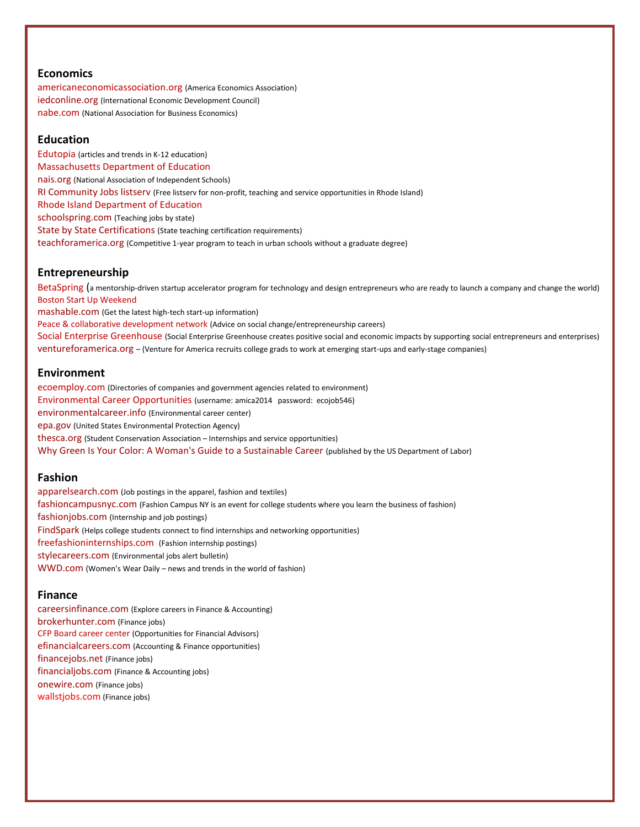## **Economics**

[americaneconomicassociation.org](https://www.aeaweb.org/students/) (America Economics Association) [iedconline.org](http://www.iedconline.org/) (International Economic Development Council) [nabe.com](http://www.nabe.com/) (National Association for Business Economics)

#### **Education**

[Edutopia](http://www.edutopia.org/) (articles and trends in K-12 education) [Massachusetts Department of Education](http://www.doe.mass.edu/) [nais.org](http://www.nais.org/) (National Association of Independent Schools) [RI Community Jobs listserv](http://swearercenter.brown.edu/opportunities/ricommjobs) (Free listserv for non-profit, teaching and service opportunities in Rhode Island) [Rhode Island Department of Education](http://www.ride.ri.gov/) [schoolspring.com](http://www.schoolspring.com/) (Teaching jobs by state) [State by State Certifications](http://www.education-world.com/jobs/state_certification.shtml) (State teaching certification requirements) [teachforamerica.org](http://www.teachforamerica.org/) (Competitive 1-year program to teach in urban schools without a graduate degree)

#### **Entrepreneurship**

[BetaSpring](http://www.betaspring.com/) (a mentorship-driven startup accelerator program for technology and design entrepreneurs who are ready to launch a company and change the world) [Boston Start Up Weekend](http://www.up.co/communities/usa/boston/) [mashable.com](http://mashable.com/) (Get the latest high-tech start-up information) [Peace & collaborative development network](http://www.internationalpeaceandconflict.org/profiles/blog/show?id=780588%3ABlogPost%3A2206&xgs=1&xg_source=msg_share_post) (Advice on social change/entrepreneurship careers) [Social Enterprise Greenhouse](http://segreenhouse.org/) (Social Enterprise Greenhouse creates positive social and economic impacts by supporting social entrepreneurs and enterprises) [ventureforamerica.org](http://ventureforamerica.org/) – (Venture for America recruits college grads to work at emerging start-ups and early-stage companies)

#### **Environment**

[ecoemploy.com](http://www.ecoemploy.com/) (Directories of companies and government agencies related to environment) [Environmental Career Opportunities](http://www.ecojobs.com/login_subs.php) (username: amica2014 password: ecojob546) [environmentalcareer.info](http://www.environmentalcareer.info/) (Environmental career center) [epa.gov](http://www.epa.gov/) (United States Environmental Protection Agency) [thesca.org](http://www.thesca.org/) (Student Conservation Association – Internships and service opportunities) [Why Green Is Your Color: A Woman's Guide to a Sustainable Career](http://www.dol.gov/wb/Green_Jobs_Guide/index.htm) (published by the US Department of Labor)

#### **Fashion**

[apparelsearch.com](http://www.apparelsearch.com/employment.htm) (Job postings in the apparel, fashion and textiles) [fashioncampusnyc.com](http://fashioncampusnyc.com/) (Fashion Campus NY is an event for college students where you learn the business of fashion) [fashionjobs.com](http://us.fashionjobs.com/jobs/index.php) (Internship and job postings) [FindSpark](http://www.meetup.com/nycreativeinterns/) (Helps college students connect to find internships and networking opportunities) [freefashioninternships.com](http://freefashioninternships.com/) (Fashion internship postings) [stylecareers.com](http://www.stylecareers.com/) (Environmental jobs alert bulletin) [WWD.com](http://www.wwd.com/wwdcareers) (Women's Wear Daily – news and trends in the world of fashion)

## **Finance**

[careersinfinance.com](http://www.careers-in-finance.com/) (Explore careers in Finance & Accounting) [brokerhunter.com](http://www.brokerhunter.com/) (Finance jobs) [CFP Board career center](http://www.cfp.net/career-center) (Opportunities for Financial Advisors) [efinancialcareers.com](http://www.efinancialcareers.com/) (Accounting & Finance opportunities) [financejobs.net](http://www.financejobs.net/) (Finance jobs) [financialjobs.com](http://www.financialjobs.com/) (Finance & Accounting jobs) [onewire.com](http://www.onewire.com/) (Finance jobs) [wallstjobs.com](http://www.wallstjobs.com/) (Finance jobs)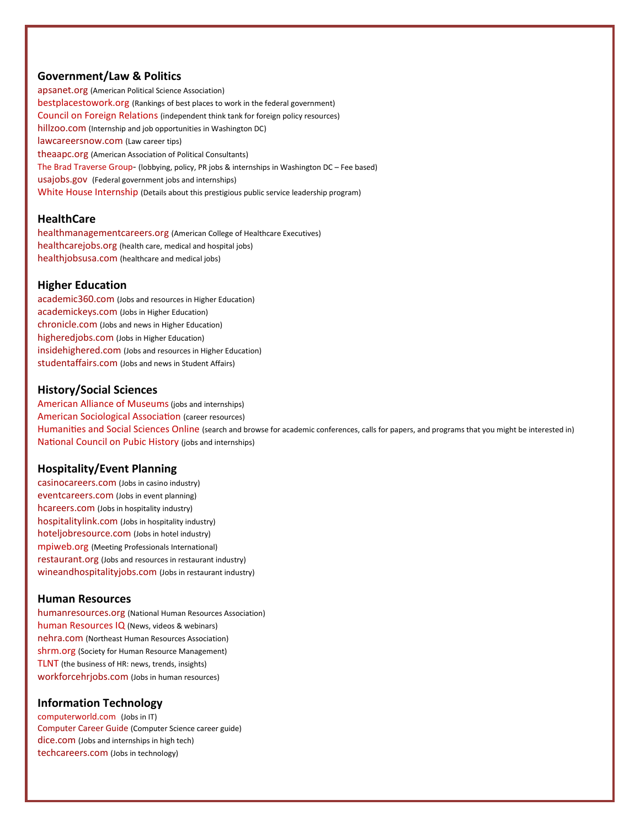# **Government/Law & Politics**

[apsanet.org](http://www.apsanet.org/content_6457.cfm) (American Political Science Association) [bestplacestowork.org](http://bestplacestowork.org/BPTW/index.php) (Rankings of best places to work in the federal government) [Council on Foreign Relations](http://www.cfr.org/) (independent think tank for foreign policy resources) [hillzoo.com](http://hillzoo.com/) (Internship and job opportunities in Washington DC) [lawcareersnow.com](http://www.lawcareersnow.com/) (Law career tips) [theaapc.org](http://www.theaapc.org/) (American Association of Political Consultants) [The Brad Traverse Group](http://www.bradtraverse.com/)- (lobbying, policy, PR jobs & internships in Washington DC – Fee based) [usajobs.gov](http://www.usajobs.gov/) [\(F](http://www.usajobs.gov/)ederal government jobs and internships) [White House Internship](http://www.whitehouse.gov/about/internships) (Details about this prestigious public service leadership program)

## **HealthCare**

[healthmanagementcareers.org](http://www.healthmanagementcareers.org/) (American College of Healthcare Executives) [healthcarejobs.org](http://www.healthcarejobs.org/) (health care, medical and hospital jobs) [healthjobsusa.com](http://www.healthjobsusa.com/) (healthcare and medical jobs)

## **Higher Education**

[academic360.com](http://www.academic360.com/) (Jobs and resources in Higher Education) [academickeys.com](http://www.academickeys.com/) (Jobs in Higher Education) [chronicle.com](http://chronicle.com/) (Jobs and news in Higher Education) [higheredjobs.com](http://www.higheredjobs.com/) (Jobs in Higher Education) [insidehighered.com](http://www.insidehighered.com/) (Jobs and resources in Higher Education) [studentaffairs.com](http://www.studentaffairs.com/) (Jobs and news in Student Affairs)

# **History/Social Sciences**

[American Alliance of Museums](http://aam-us.org/resources/careers?gclid=CKywhvbA6bkCFYuk4AodG3oArg) (jobs and internships) [American Sociological Association](http://www.asanet.org/employment/careers.cfm) (career resources) [Humanities and Social Sciences Online](http://www.h-net.org/announce/) (search and browse for academic conferences, calls for papers, and programs that you might be interested in) [National Council on Pubic History](http://ncph.org/cms/careers-training/jobs/) (jobs and internships)

# **Hospitality/Event Planning**

[casinocareers.com](http://www.casinocareers.com/) (Jobs in casino industry) [eventcareers.com](http://www.eventcareers.com/) (Jobs in event planning) [hcareers.com](http://www.hcareers.com/) (Jobs in hospitality industry) [hospitalitylink.com](http://www.hospitalitylink.com/) (Jobs in hospitality industry) [hoteljobresource.com](http://www.hoteljobresource.com/) (Jobs in hotel industry) [mpiweb.org](http://www.mpiweb.org/) (Meeting Professionals International) [restaurant.org](http://www.restaurant.org/careers/) (Jobs and resources in restaurant industry) [wineandhospitalityjobs.com](http://www.wineandhospitalityjobs.com/) (Jobs in restaurant industry)

## **Human Resources**

[humanresources.org](http://www.humanresources.org/) (National Human Resources Association) [human Resources IQ](http://www.humanresourcesiq.com/) (News, videos & webinars) [nehra.com](http://www.nehra.com/) (Northeast Human Resources Association) [shrm.org](http://www.shrm.org/pages/default.aspx) (Society for Human Resource Management) [TLNT](http://www.tlnt.com/) (the business of HR: news, trends, insights) [workforcehrjobs.com](http://www.workforcehrjobs.com/a/all-jobs/list) (Jobs in human resources)

## **Information Technology**

[computerworld.com](http://www.computerworld.com/) (Jobs in IT) [Computer Career Guide](http://www.khake.com/page17.html) (Computer Science career guide) [dice.com](http://www.dice.com/) (Jobs and internships in high tech) [techcareers.com](http://www.techcareers.com/) (Jobs in technology)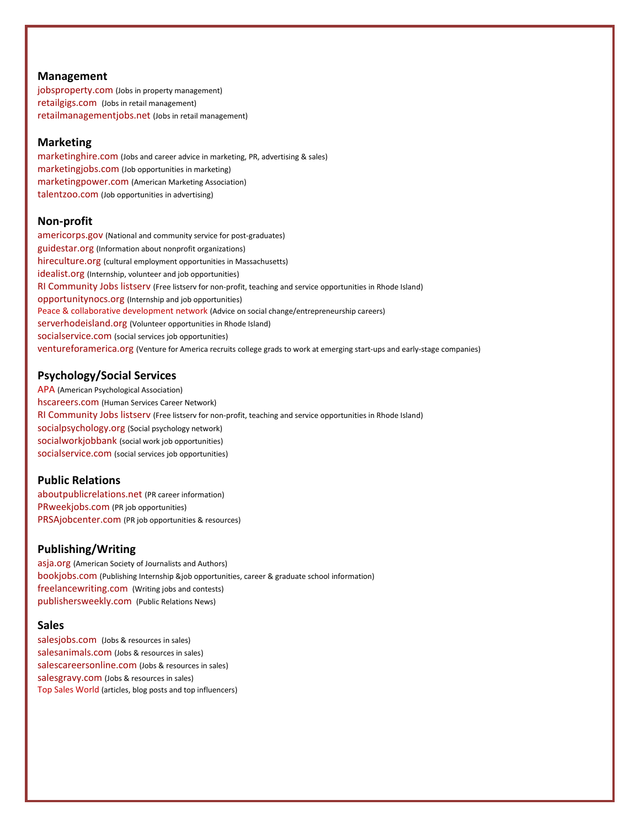## **Management**

[jobsproperty.com](http://www.jobsproperty.com/) (Jobs in property management) [retailgigs.com](http://www.retailgigs.com/) [\(J](http://www.retailgigs.com/)obs in retail management) [retailmanagementjobs.net](http://www.retailmanagementjobs.net/) (Jobs in retail management)

## **Marketing**

[marketinghire.com](http://www.marketinghire.com/) (Jobs and career advice in marketing, PR, advertising & sales) [marketingjobs.com](http://www.marketingjobs.com/) (Job opportunities in marketing) [marketingpower.com](http://www.marketingpower.com/) (American Marketing Association) [talentzoo.com](http://www.talentzoo.com/) (Job opportunities in advertising)

## **Non-profit**

[americorps.gov](http://www.americorps.gov/) (National and community service for post-graduates) [guidestar.org](http://www.guidestar.org/) (Information about nonprofit organizations) [hireculture.org](http://www.hireculture.org/) (cultural employment opportunities in Massachusetts) [idealist.org](http://www.idealist.org/) (Internship, volunteer and job opportunities) [RI Community Jobs listserv](http://swearercenter.brown.edu/opportunities/ricommjobs) (Free listserv for non-profit, teaching and service opportunities in Rhode Island) [opportunitynocs.org](http://www.opportunitynocs.org/) (Internship and job opportunities) [Peace & collaborative development network](http://www.internationalpeaceandconflict.org/profiles/blog/show?id=780588%3ABlogPost%3A2206&xgs=1&xg_source=msg_share_post) (Advice on social change/entrepreneurship careers) [serverhodeisland.org](http://www.serverhodeisland.org/) (Volunteer opportunities in Rhode Island) [socialservice.com](http://www.socialservice.com/) (social services job opportunities) [ventureforamerica.org](http://ventureforamerica.org/) (Venture for America recruits college grads to work at emerging start-ups and early-stage companies)

# **Psychology/Social Services**

[APA](http://www.apa.org/) (American Psychological Association) [hscareers.com](http://www.hscareers.com/) (Human Services Career Network) [RI Community Jobs listserv](http://swearercenter.brown.edu/opportunities/ricommjobs) (Free listserv for non-profit, teaching and service opportunities in Rhode Island) [socialpsychology.org](http://www.socialpsychology.org/) (Social psychology network) [socialworkjobbank](http://www.socialworkjobbank.com/site/) (social work job opportunities) [socialservice.com](http://www.socialservice.com/) (social services job opportunities)

# **Public Relations**

[aboutpublicrelations.net](http://aboutpublicrelations.net/jobsinpr.htm) (PR career information) [PRweekjobs.com](http://prweekjobs.com/) (PR job opportunities) [PRSAjobcenter.com](http://www.prsa.org/jobcenter/) (PR job opportunities & resources)

## **Publishing/Writing**

[asja.org](http://www.asja.org/) (American Society of Journalists and Authors) [bookjobs.com](http://www.bookjobs.com/) (Publishing Internship &job opportunities, career & graduate school information) [freelancewriting.com](http://www.freelancewriting.com/) (Writing jobs and contests) [publishersweekly.com](http://www.publishersweekly.com/) (Public Relations News)

## **Sales**

[salesjobs.com](http://www.salesjobs.com/) [\(J](http://www.salesjobs.com/)obs & resources in sales) [salesanimals.com](http://www.salesanimals.com/) (Jobs & resources in sales) [salescareersonline.com](http://www.salescareersonline.com/) (Jobs & resources in sales) [salesgravy.com](http://www.salesgravy.com/JobBoard/) (Jobs & resources in sales) [Top Sales World](http://topsalesworld.com/) (articles, blog posts and top influencers)